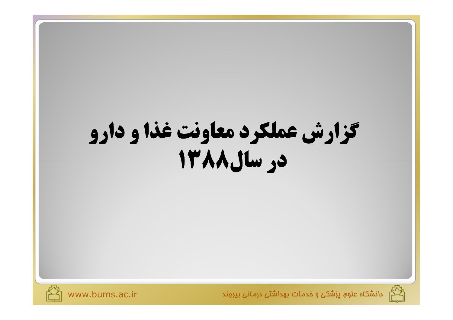# گزارش عملکرد معاونت غذا و دارو Le which you





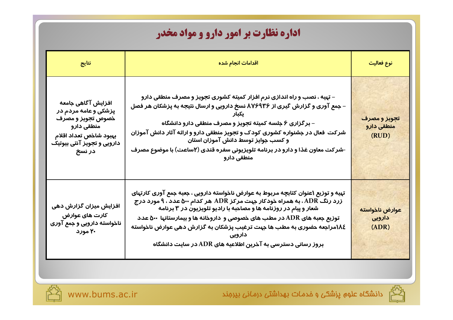## **اداره نظارت بر امور دارو و مواد مخدر**

| نتايج                                                                                                                                           | اقدامات انجام شده                                                                                                                                                                                                                                                                                                                                                                                                                                    | نوع فعالیت                          |
|-------------------------------------------------------------------------------------------------------------------------------------------------|------------------------------------------------------------------------------------------------------------------------------------------------------------------------------------------------------------------------------------------------------------------------------------------------------------------------------------------------------------------------------------------------------------------------------------------------------|-------------------------------------|
| افزایش آگاهی جامعه<br>پزشکی و عامه مردم در<br>خصوص تجويز و مصرف<br>منطقی دارو<br>بهبود شاخص تعداد اقلام<br>دارویی و تجویز آنتی بیوتیک<br>در نسخ | – تهیه ، نصب و راه اندازی نرم افزار کمیته کشوری تجویز و مصرف منطقی دارو<br>– جمع آوری و گزارش گیری از ۸۷۶۹۳۶ نسخ دارویی و ارسال نتیجه به پزشکان هر فصل<br>– برگزاری ۶ جلسه کمیته تجویز و مصرف منطقی دارو دانشگاه<br>شرکت فعال در جشنواره کشوری کودک و تجویز منطقی دارو و ارائه آثار دانش آموزان<br>و کسب جوایز توسط دانش آموزان استان<br>-شرکت معاون غذا و دارو در برنامه تلویزیونی سفره قندی (۲ساعت) با موضوع مصرف<br>منطقی دارو                    | تجويز و مصرف<br>منطقی دارو<br>(RUD) |
| افزایش میزان گزارش دهی<br>كارت هاى عوارض<br>ناخواسته دارویی و جمع آوری<br>۲۰ مورد                                                               | تهیه و توزیع ۱عنوان کتابچه مربوط به عوارض ناخواسته دارویی ، جعبه جمع آوری کارتهای<br>زرد رنگ ADR، به همراه خودکار جهت مرکز ADR هر کدام ۵۰۰ عدد ، ۹ مورد درج<br>شعار و پیام در روزنامه ها و مصاحبه با رادیو تلویزیون در ۳ برنامه<br>توزیع جعبه های ADR در مطب های خصوصی و  داروخانه ها و بیمارستانها  ۵۰۰ عدد<br>١٨٤مراجعه حضوری به مطب ها جهت ترغيب پزشکان به گزارش دهی عوارض ناخواسته<br>بروز رسانی دسترسی به آخرین اطلاعیه های ADR در سایت دانشگاه | عوارض ناخواسته<br>دارویی<br>(ADR)   |



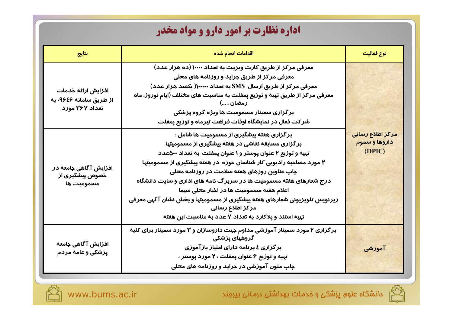## **اداره نظارت بر امور دارو و مواد مخدر**

| نتايج                                                           | اقدامات انجام شده                                                                                                                                                                                                                                                                                                                                                                                                                                                                                                                                                                               | نوع فعاليت                                  |
|-----------------------------------------------------------------|-------------------------------------------------------------------------------------------------------------------------------------------------------------------------------------------------------------------------------------------------------------------------------------------------------------------------------------------------------------------------------------------------------------------------------------------------------------------------------------------------------------------------------------------------------------------------------------------------|---------------------------------------------|
| افزایش ارائه خدمات<br>از طریق سامانه ۹۶٤۶- به<br>تعداد ۳۶۷ مورد | معرفی مرکز از طریق کارت ویزیت به تعداد ۱۰۰۰۰ (ده هزار عدد)<br>معرفی مرکز از طریق جراید و روزنامه های م <del>ح</del> لی<br>معرفی مرکز از طریق ارسال  SMS به تعداد ۱۰۰۰۰۰۰( یکصد هزار عدد)<br>معرفی مرکز از طریق تہیه و توزیع پمفلت به مناسبت های مختلف (ایام نوروز، ماه<br>رمضان ، )<br>بر گزاری سمینار مسمومیت ها ویژه گروه پزشکی<br>شر کت فعال در نمایشگاه اوقات فراغت تیرماه و توزیع پمفلت                                                                                                                                                                                                    |                                             |
| افزایش آگاهی جامعه در<br>خصوص پیشگیری از<br>مسمومیت ها          | بر گزاری هفته پیشگیری از مسمومیت ها شامل :<br>بر گزاری مسابقه نقاشی در هفته پیشگیری از مسمومیتها<br>تهیه و توزیع ۲ عنوان پوستر و ۱ عنوان پمفلت به تعداد ۵۰۰عدد<br>۲ مورد مصاحبه رادیویی کار شناسان حوزه در هفته پیشگیری از مسمومیتها<br>چاپ عناوین <i>ر</i> وزهای هفته سلامت د <i>ر ر</i> وزنامه م <del>ح</del> لی<br>درج شعارهای هفته مسمومیت ها در سربرگ نامه های اداری و سایت دانشگاه<br>اعلام هفته مسموميت ها در اخبار محلي سيما<br>زیرنویس تلویزیونی شعارهای هفته پیشگیری از مسمومیتها و پخش نشان آگهی معرفی<br>مركز اطلاع رسانى<br>تهیه استند و پلاکارد به تعداد ۷ عدد به مناسبت این هفته | مركز اطلاع رسانى<br>داروها و سموم<br>(DPIC) |
| افزایش آگاهی جامعه<br>پزشکی و عامه مردم                         | برگزاری ۲ مورد سمینار آموزشی مداوم جهت داروسازان و ۳ مورد سمینار برای کلیه<br>گروههای پزشکی<br>بر گزاری ٤ برنامه دارای امتیاز باز آموزی<br>تهیه و توزیع ۶ عنوان پمفلت ، ۲ مورد پوستر ،<br>چاپ متون آموزشی در جراید و روزنامه های م <del>ح</del> لی                                                                                                                                                                                                                                                                                                                                              | آموزشی                                      |



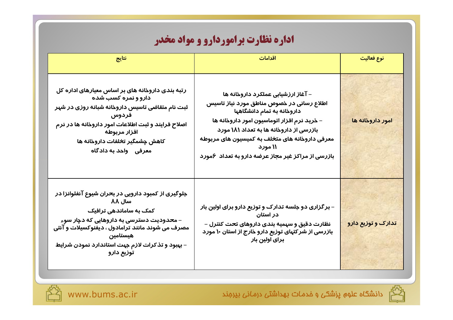## **اداره نظارت براموردارو و مواد مخدر**

| نتايج                                                                                                                                                                                                                                                                                     | اقدامات                                                                                                                                                                                                                                                                                                                   | نوع فعاليت         |
|-------------------------------------------------------------------------------------------------------------------------------------------------------------------------------------------------------------------------------------------------------------------------------------------|---------------------------------------------------------------------------------------------------------------------------------------------------------------------------------------------------------------------------------------------------------------------------------------------------------------------------|--------------------|
| رتبه بندی داروخانه های بر اساس معیارهای اداره کل<br>دارو و نمره کسب شده<br>ثبت نام متقاضی تاسیس داروخانه شبانه روزی در شهر<br>فردوس<br>اصلاح فرایند و ثبت اطلاعات امور داروخانه ها در نرم<br>افزار مربوطه<br>کاهش چشمگیر تخلفات داروخانه ها<br>معرفی واحد به دادگاه                       | – آغاز ارزشیابی عملکرد داروخانه ها<br>اطلاع رسانی در خصوص مناطق مورد نیاز تاسیس<br>داروخانه به تمام دانشگاهها<br>– خرید نرم افزار اتوماسیون امور داروخانه ها<br>بازرسی از داروخانه ها به تعداد ۱۸۱ مورد<br>معرفی داروخانه های متخلف به کمیسیون های مربوطه<br>۱۱ مورد<br>بازرسی از مراکز غیر مجاز عرضه دارو به تعداد ۶مورد | امور داروخانه ها   |
| جلوگیری از کمبود دا <i>ر</i> ویی در ب <del>ح</del> ران شیوع آنفلوانزا در<br>سال ۸۸<br>کمک به ساماندهی ترافیک<br>– محدودیت دسترسی به داروهایی که دچار سوء<br>مصرف می شوند مانند ترامادول ، دیفنوکسیلات و آنتی<br>هيستامين<br>– بهبود و تذکرات لازم جهت استاندارد نمودن شرایط<br>توزيع دارو | – بر گزاری دو جلسه تدارک و توزیع دارو برای اولین بار<br>در استان<br>نظارت دقیق و سهمیه بندی داروهای تحت کنترل –<br>بازرسی از شرکتهای توزیع دارو خارج از استان ۱۰ مورد<br>برای اولین بار                                                                                                                                   | تدارک و توزیع دارو |



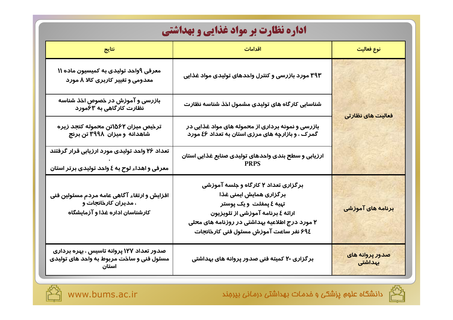| <b>اداره نظارت بر مواد غذایی و بهداشتی</b>                                                                          |                                                                                                                                                                                                                                               |                                |  |
|---------------------------------------------------------------------------------------------------------------------|-----------------------------------------------------------------------------------------------------------------------------------------------------------------------------------------------------------------------------------------------|--------------------------------|--|
| نتايج                                                                                                               | اقدامات                                                                                                                                                                                                                                       | نوع فعاليت                     |  |
| معرفی ۹واحد تولیدی به کمیسیون ماده ۱۱<br>معدومی و تغییر کاربری کالا ۸ مورد                                          | ۳۹۳ مورد بازرسی و کنترل واحدهای تولیدی مواد غذایی                                                                                                                                                                                             |                                |  |
| بازرسی و آموزش در خصوص اخذ شناسه<br>نظارت کارگاهی به ۶۳مورد                                                         | شناسایی کارگاه های تولیدی مشمول اخذ شناسه نظارت                                                                                                                                                                                               |                                |  |
| ترخیص میزان ۱۵۶۲تن محموله کنجد زیره<br>شاهدانه ومیزان ۳۹۹۸ تن برنج                                                  | بازرسی و نمونه برداری از محموله های مواد غذایی در<br>گمرک ، و بازارچه های مرزی استان به تعداد ٤۶ مورد                                                                                                                                         | فعالیت های نظارتی              |  |
| تعداد ۲۶ واحد تولیدی مورد ارزیابی قرار گرفتند<br>معرفی و اهداء لوح به ٤ واحد تولیدی برتر استان                      | ارزیابی و سطح بندی واحدهای تولیدی صنایع غذایی استان                                                                                                                                                                                           |                                |  |
| افزایش و ارتقاء آگاهی عامه مردم مسئولین فنی<br>، مدیران کارخان <del>ج</del> ات و<br>کارشناسان اداره غذا و آزمایشگاه | برگزاری تعداد ۲ کارگاه و جلسه آموزشی<br>بر <i>گ</i> زا <i>ر</i> ی همایش ایمنی غذا<br>تہیه ٤ پمفلت و یک پوستر<br>ارائه ٤ برنامه آموزشی از تلویزیون<br>۲ مورد درج اطلاعیه بهداشتی در روزنامه های محلی<br>۶۹٤ نفر ساعت آموزش مسئول فنی کارخانجات | <mark>برنامه های آموزشی</mark> |  |
| صدور تعداد ۱۲۷ پروانه تاسیس ، بهره برداری<br>مسئول فنی و ساخت مربوط به واحد های تولیدی                              | بر گزاری ۲۰ کمیته فنی صدور پروانه های بهداشتی                                                                                                                                                                                                 | صدور پروانه های<br>بهداشتی     |  |



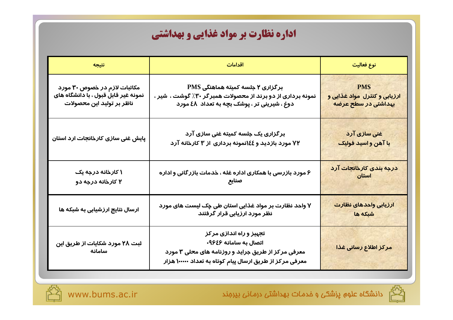| نتيجه                                                                                             | اقدامات                                                                                                                                                            | نوع فعالیت                                                        |
|---------------------------------------------------------------------------------------------------|--------------------------------------------------------------------------------------------------------------------------------------------------------------------|-------------------------------------------------------------------|
| مکاتبات لازم در خصوص ۳۰ مورد<br>نمونه غیر قابل قبول ، با دانشگاه های<br>ناظر بر تولید این محصولات | برگزاری ۲ جلسه کمیته هماهنگی PMS<br>نمونه برداری از دو برند از محصولات همبرگر ۳۰٪ گوشت ، شیر ،<br>دوغ ، شیرینی تر ، پوشک بچه به تعداد ٤٨ مورد                      | <b>PMS</b><br>ارزیابی و کنترل مواد غذایی و<br>بهداشتی در سطح عرضه |
| پایش غنی سازی کارخانجات ارد استان                                                                 | بر گزاری یک جلسه کمیته غنی سازی آرد<br>۷۲ مو <i>ر</i> د بازدید و ٤٤انمونه بردا <i>ر</i> ی از ۳ کارخانه آرد                                                         | غنی سازی آرد<br>با آهن و اسید فولیک                               |
| ۱ کارخانه درجه یک<br>۲ کارخانه درجه دو                                                            | ۶ مورد بازرسی با همکاری اداره غله ، خدمات بازرگانی و اداره<br>صنايع                                                                                                | درجه بندی کارخانجات آرد<br>استان                                  |
| ارسال نتایج ارزشیابی به شبکه ها                                                                   | ۷ واحد نظارت بر مواد غذایی استان طی چک لیست های مورد<br>نظر مورد ارزیابی قرار گرفتند                                                                               | ارزيابي واحدهاي نظارت<br>شبكه ها                                  |
| ثبت ۲۸ مو <i>ر</i> د شکایات از طریق این<br>سامانه                                                 | تجهیز و راه اندازی مرکز<br>اتصال به سامانه ۹۶٤۶-<br>معرفی مرکز از طریق جراید و روزنامه های محلی ۳ مورد<br>معرفی مرکز از طریق ارسال پیام کوتاه به تعداد ۱۰۰۰۰۰ هزار | مركز اطلاع رسانى غذا                                              |



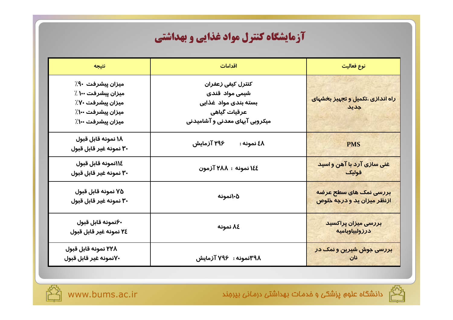## آزمایشگاه کنترل مواد غذایی و بهداشتی

| نتيجه                                                                                                | اقدامات                                                                                                       | نوع فعالیت                                            |
|------------------------------------------------------------------------------------------------------|---------------------------------------------------------------------------------------------------------------|-------------------------------------------------------|
| ميزان پيشرفت ٩٠٪<br>میزان پیشرفت ۱۰۰ ٪<br>میزان پیشرفت ۷۰٪<br>میزان پیشرفت ۱۰۰٪<br>میزان پیشرفت ۱۰۰٪ | كنترل كيفى زعفران<br>شیمی مواد قندی<br>بسته بندی مواد غذایی<br>عرقيات گياهي<br>میکروبی آبهای معدنی و آشامیدنی | <mark>راه اندازی ،تکمیل و تجهیز بخشهای</mark><br>جديد |
| ١٨ نمونه قابل قبول<br>۳۰ نمونه غیر قابل قبول                                                         | ۲۹۶ آزمایش<br>٤٨ نمونه :                                                                                      | <b>PMS</b>                                            |
| ١١٤نمونه قابل قبول<br>٣٠ نمونه غير قابل قبول                                                         | ١٤٤ نمونه : ٢٨٨ آزمون                                                                                         | <u>غنی سازی آرد با آهن و اسید</u><br>فوليك            |
| ۷۵ نمونه قابل قبول<br>۳۰ نمونه غیر قابل قبول                                                         | ۰۵(نمونه                                                                                                      | بررسی نمک های سطح عرضه<br>ازنظر میزان ید و درجه خلوص  |
| ۶۰نمونه قابل قبول<br>٢٤ نمونه غير قابل قبول                                                          | ۸٤ نمونه                                                                                                      | بررسی میزان پراکسید<br>درزولبياوباميه                 |
| ۲۲۸ نمونه قابل قبول<br>۷۰نمونه غیر قابل قبول                                                         | <b>۳۹۸نمونه : ۷۹۶ آزمایش</b>                                                                                  | بررسی جوش شیرین و نمک در                              |



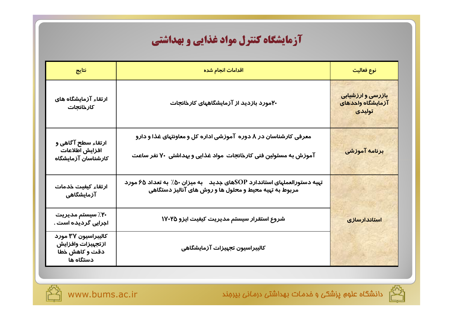## آزمایشگاه کنترل مواد غذایی و بهداشتی

| نتايج                                                                   | اقدامات انجام شده                                                                                                                   | نوع فعالیت                                       |
|-------------------------------------------------------------------------|-------------------------------------------------------------------------------------------------------------------------------------|--------------------------------------------------|
| ارتقاء آزمایشگاه های<br>كارخانجات                                       | ۲۰مورد بازدید از آزمایشگاههای کارخانجات                                                                                             | بازرسی و ارزشیابی<br>آزمایشگاه واحدهای<br>تولیدی |
| ارتقاء سطح آگاهی و<br>افزايش اطلاعات<br>كارشناسان آزمايشگاه             | معرفی کارشناسان در ۸ دوره آموزشی اداره کل و معاونتهای غذا و دارو<br>آموزش به مسئولین فنی کارخانجات مواد غذایی و بهداشتی ۷۰ نفر ساعت | برنامه آموزشی                                    |
| ارتقاء كيفيت خدمات<br>آزمایشگاهی                                        | تهیه دستورالعملهای استاندارد SOPهای جدید میم میزان ۵۰٪ به تعداد ۶۵ مورد<br>مربوط به تهیه محیط و محلول ها و روش های آنالیز دستگاهی   |                                                  |
| ۲۰٪ سیستم مدیریت<br>اجرایی گردیده است .                                 | شروع استقرار سيستم مديريت كيفيت ايزو ١٧٠٢٥                                                                                          | <mark>استاندارسازی</mark>                        |
| كاليبراسيون ٣٧ مورد<br>ازتجهيزات وافزايش<br>دقت و کاهش خطا<br>دستگاه ها | كاليبراسيون تجهيزات آزمايشگاهي                                                                                                      |                                                  |



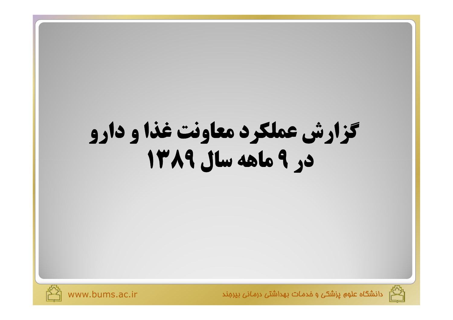# كزارش عملكرد معاونت غذا و دارو Le Palas wil PATI





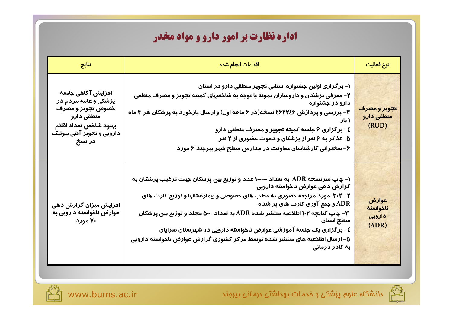## **اداره نظارت بر امور دارو و مواد مخدر**

| نتايج                                                                                                                                           | اقدامات انجام شده                                                                                                                                                                                                                                                                                                                                                                                                                                                                                | نوع فعاليت                           |
|-------------------------------------------------------------------------------------------------------------------------------------------------|--------------------------------------------------------------------------------------------------------------------------------------------------------------------------------------------------------------------------------------------------------------------------------------------------------------------------------------------------------------------------------------------------------------------------------------------------------------------------------------------------|--------------------------------------|
| افزایش آگاهی جامعه<br>پزشکی و عامه مردم در<br>خصوص تجويز و مصرف<br>منطقی دارو<br>بهبود شاخص تعداد اقلام<br>دارویی و تجویز آنتی بیوتیک<br>در نسخ | ۱– بر گزاری اولین جشنواره استانی تجویز منطقی دارو در استان<br>۲– معرفی پزشکان و داروسازان نمونه با توجه به شاخصهای کمیته تجویز و مصرف منطقی<br>دارو در جشنواره<br>۳– بررسی و پردازش ۶۶۲۲٤۶ نسخه(در ۶ ماهه اول) و ارسال بازخورد به پزشکان هر ۳ ماه<br>۱ نار<br>٤- برگزاری ۶ جلسه کمیته تجویز و مصرف منطقی دارو<br>۵– تذکر به ۶ نفر از پزشکان و دعوت حضوری از ۲ نفر<br>۶– سخنرانی کارشناسان معاونت در مدارس سطح شہر بیرجند ۶ مورد                                                                  | تجویز و مصرف<br>منطقی دارو<br>(RUD)  |
| افزایش میزان گزارش دهی<br>عوارض ناخواسته دارویی به<br>۷۰ مورد                                                                                   | ۱− چاپ سرنسخه ADR به تعداد ۱۰۰۰۰۰ عدد و توزیع بین پزشکان جهت ترغیب پزشکان به<br>گزارش دهی عوارض ناخواسته دارویی<br>۲– ۲۰۲ مورد مراجعه حضوری به مطب های خصوصی و بیمارستانها و توزیع کارت های<br>ADR و جمع آوری کارت های پر شده<br>۳- چاپ کتابچه ۱۰۲ اطلاعیه منتشر شده ADR به تعداد ۵۰۰ مجلد و توزیع بین پزشکان<br>سطح استان<br>٤– بر گزاری یک جلسه آموزشی عوارض ناخواسته دارویی در شهرستان سرایان<br>۵– ارسال اطلاعیه های منتشر شده توسط مرکز کشوری گزارش عوارض ناخواسته دارویی<br>به کادر درمانی | عوارض<br>ناخواسته<br>دارویی<br>(ADR) |

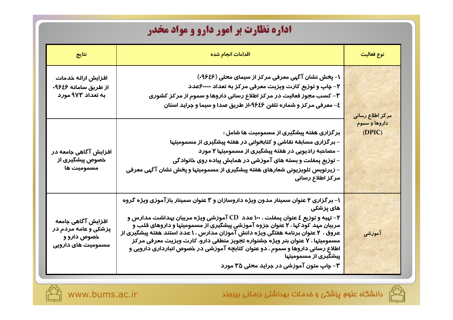## **اداره نظارت بر امور دارو و مواد مخدر**

| نتايج                                                                           | اقدامات انجام شده                                                                                                                                                                                                                                                                                                                                                                                                                                                                                                                                                                        | نوع فعالیت              |
|---------------------------------------------------------------------------------|------------------------------------------------------------------------------------------------------------------------------------------------------------------------------------------------------------------------------------------------------------------------------------------------------------------------------------------------------------------------------------------------------------------------------------------------------------------------------------------------------------------------------------------------------------------------------------------|-------------------------|
| افزایش ارائه خدمات<br>از طریق سامانه ۹۶٤۶.<br>به تعداد ۹۷۳ مورد                 | ۱– پخش نشان آ گہی معرفی مر کز از سیمای محلی (۹۶٤۶-)<br>۲– چاپ و توزیع کارت ویزیت معرفی مرکز به تعداد ۶۰۰۰۰عدد<br>۳– کسب مجوز فعالیت در مرکز اطلاع رسانی داروها و سموم از مرکز کشوری<br>٤– معرفی مرکز و شماره تلفن ۹۶٤۶-از طریق صدا و سیما و جراید استان                                                                                                                                                                                                                                                                                                                                  | مركز اطلاع رسانى        |
| افزایش آگاهی جامعه در<br>خصوص پیشگیری از<br>مسمومیت ها                          | بر گزاری هفته پیشگیری از مسمومیت ها شامل :<br>– بر گزاری مسابقه نقاشی و کتابخوانی در هفته پیشگیری از مسمومیتها<br>– مصاحبه رادیویی در هفته پیشگیری از مسمومیتها ۲ مورد<br>– توزیع پمفلت و بسته های آموزشی در همایش پیاده روی خانوادگی<br>– زیرنویس تلویزیونی شعارهای هفته پیشگیری از مسمومیتها و پخش نشان آگهی معرفی<br>مركز اطلاع رسانى                                                                                                                                                                                                                                                 | داروها و سموم<br>(DPIC) |
| افزایش آگاهی جامعه<br>پزشکی و عامه مردم در<br>خصوص دارو و<br>مسمومیت های دارویی | ۱– برگزاری ۲ عنوان سمینار مدون ویژه داروسازان و ۳ عنوان سمینار بازآموزی ویژه گروه<br>های پزشکی<br>۲– تهیه و توزیع ٤ عنوان پمفلت ، ۱۰۰ عدد  CD آموزشی ویژه مربیان بهداشت مدارس و<br>مربیان مهد کودکها ، ۲ عنوان جزوه آموزشی پیشگیری از مسمومیتها و داروهای قلب و<br>عروق ، ۲ عنوان برنامه هفتگی ویژه دانش آموزان مدارس ، ۱ عدد استند هفته پیشگیری از<br>مسمومیتها ، Y عنوان بنر ویژه جشنواره تجویز منطقی دارو، کارت ویزیت معرفی مرکز<br>اطلاع رسانی داروها و سموم ، دو عنوان کتابچه آموزشی در خصوص انبارداری دارویی و<br>پیشگیری از مسمومیتها<br>۳- چاپ متون آموزشی در جراید محلی ۳۵ مورد | آموزشی                  |



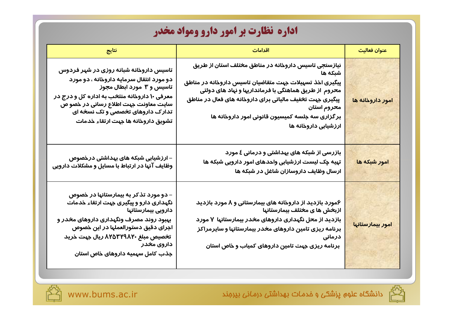# **اداره نظارت بر امور دارو ومواد مخدر**

| نتايج                                                                                                                                                                                                                                                                              | اقدامات                                                                                                                                                                                                                                                                                                                                    | عنوان فعاليت     |
|------------------------------------------------------------------------------------------------------------------------------------------------------------------------------------------------------------------------------------------------------------------------------------|--------------------------------------------------------------------------------------------------------------------------------------------------------------------------------------------------------------------------------------------------------------------------------------------------------------------------------------------|------------------|
| تاسیس داروخانه شبانه روزی در شهر فردوس<br>دو مورد انتقال سرمایه داروخانه ، دو مورد<br>تاسیس و ۳ مورد ابطال مجوز<br>معرفی ۱۰ داروخانه منتخب به اداره کل و درج در<br>سایت معاونت جہت اطلاع رسانی در خصو ص<br>تدار ک داروهای تخصصی و تک نسخه ای<br>تشويق داروخانه ها جهت ارتقاء خدمات | نیازسنجی تاسیس داروخانه در مناطق مختلف استان از طریق<br>شبكه ها<br>پیگیری اخذ تسہیلات جہت متقاضیان تاسیس داروخانه در مناطق<br>محروم از طریق هماهنگی با فرمانداریها و نهاد های دولتی<br>پیگیری جهت تخفیف مالیاتی برای داروخانه های فعال در مناطق<br>محروم استان<br>بر گزاری سه جلسه کمیسیون قانونی امور داروخانه ها<br>ارزشیابی داروخانه ها | امور داروخانه ها |
| – ارزشیابی شبکه های بهداشتی درخصوص<br>وظایف آنها در ارتباط با مسایل و مشکلات دارویی                                                                                                                                                                                                | بازرسی از شبکه های بهداشتی و درمانی ٤ مورد<br>تهیه چک لیست ارزشیابی واحدهای امور دارویی شبکه ها<br>ارسال وظایف داروسازان شاغل در شبکه ها                                                                                                                                                                                                   | امور شبکه ها     |
| – دو مورد تذکر به بیمارستانها در خصوص<br>نگهداری دارو و پیگیری جهت ارتقاء خدمات<br>دارویی بیمارستانها<br>بهبود روند مصرف ونگهداری داروهای مخدر و<br>اجرای دقیق دستورالعملها در این خصوص<br>تخصیص مبلغ ۸۲۵۳۲۹۸۲۰ ریال جہت خرید<br>داروی مخدر<br>جذب کامل سهمیه داروهای خاص استان    | ۶مو <i>ر</i> د بازدید از داروخانه های بیمارستانی و ۸ مو <i>ر</i> د بازدید<br>  ازبخش ها ی مختلف بیمارستانها<br>بازدید از محل نگهداری داروهای مخدر بیمارستانها ۷ مورد<br>برنامه ریزی تامین داروهای مخدر بیمارستانها و سایرمراکز<br>درمانی<br>برنامه ریزی جهت تامین داروهای کمیاب و خاص استان                                                | امور بیمارستانها |



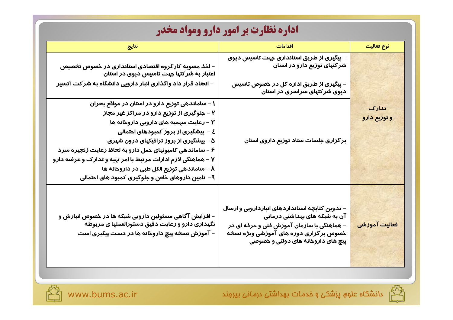| <b>اداره نظارت بر امور دارو ومواد مخدر</b>                                                                                                                                                                                                                                                                                                                                                                                                                   |                                                                                                                                                                                                                |                       |  |
|--------------------------------------------------------------------------------------------------------------------------------------------------------------------------------------------------------------------------------------------------------------------------------------------------------------------------------------------------------------------------------------------------------------------------------------------------------------|----------------------------------------------------------------------------------------------------------------------------------------------------------------------------------------------------------------|-----------------------|--|
| نتايج                                                                                                                                                                                                                                                                                                                                                                                                                                                        | اقدامات                                                                                                                                                                                                        | نوع فعالیت            |  |
| – اخذ مصوبه کارگروه اقتصادی استانداری در خصوص تخصیص<br>اعتبار به شر کتہا جہت تاسیس دپوی در استان                                                                                                                                                                                                                                                                                                                                                             | – پیگیری از طریق استانداری جہت تاسیس دپوی<br>شر کتهای توزیع دارو در استان                                                                                                                                      |                       |  |
| – انعقاد قرار داد واگذاری انبار دارویی دانشگاه به شر کت اکسیر                                                                                                                                                                                                                                                                                                                                                                                                | – پیگیری از طریق اداره کل در خصوص تاسیس<br>دپوی شر کتہای سراسری در استان                                                                                                                                       |                       |  |
| ۱ – ساماندهی توزیع دارو در استان در مواقع بحران<br>۲ – جلوگیری از توزیع دارو در مراکز غیر مجاز<br>۳ – رعایت سهمیه های دارویی داروخانه ها<br>٤ –  پیشگیری از بروز کمبودهای احتمالی<br>۵ – پیشگیری از بروز ترافیکهای درون شهری<br>۶ - ساماندهی کامیونهای حمل دارو به لحاظ رعایت زنجیره سرد<br>۷ – هماهنگی لازم ادارات مرتبط با امر تهیه و تدارک و عرضه دارو<br>۸ − ساماندهی توزیع الکل طبی در داروخانه ها<br>۹–  تامین داروهای خاص و جلوگیری کمبود های احتمالی | برگزاری جلسات ستاد توزیع داروی استان                                                                                                                                                                           | تدارک<br>و توزیع دارو |  |
| – افزایش آگاهی مسئولین دارویی شبکه ها در خصوص انبارش و<br>نگهداری دارو و رعایت دقیق دستورالعملها ی مربوطه<br>– آموزش نسخه پیچ داروخانه ها در دست پیگیری است                                                                                                                                                                                                                                                                                                  | – تدوین کتابچه استانداردهای انباردارویی و ارسال<br>آن به شبکه های بهداشتی درمانی<br>– هماهنگی با سازمان آموزش فنی و حرفه ای در<br>خصوص برگزاری دوره های آموزشی ویژه نسخه<br>پیچ های داروخانه های دولتی و خصوصی | فعالیت آموزشی         |  |



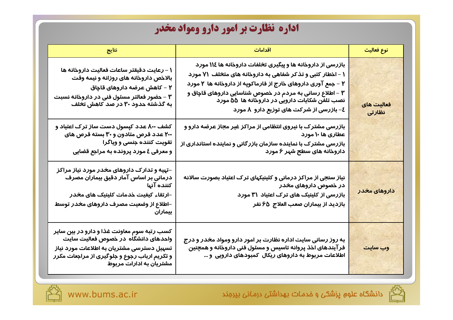## اداره نظارت بر امور دارو ومواد مخدر

| ُنتايج                                                                                                                                                                                                     | اقدامات                                                                                                                                                                                                                                                                                                                                                | نوع فعالیت                |
|------------------------------------------------------------------------------------------------------------------------------------------------------------------------------------------------------------|--------------------------------------------------------------------------------------------------------------------------------------------------------------------------------------------------------------------------------------------------------------------------------------------------------------------------------------------------------|---------------------------|
| ۱ – رعایت دقیقتر ساعات فعالیت داروخانه ها<br>بالاخص داروخانه های روزانه و نیمه وقت<br>۲ – کاهش عرضه داروهای قاچاق<br>۳ – حضور فعالتر مسئول فنی در داروخانه نسبت<br>به گذشته حدود ۳۰ در صد کاهش تخلف        | بازرسی از داروخانه ها و پیگیری تخلفات داروخانه ها ۱۱٤ مورد<br>۱ – اخطار کتبی و تذکر شفاهی به داروخانه های متخلف ۷۱ مورد<br>۲ – جمع آوری داروهای خارج از فارماکوپه از داروخانه ها ۲ مورد<br>۳ – اطلاع رسانی به مردم در خصوص شناسایی داروهای قاچاق و<br>نصب تلفن شکایات دارویی در داروخانه ها ۵۵ مورد<br><b>٤− بازرسی از شرکت های توزیع دارو  λ مورد</b> | فعالیت های<br>نظارتى      |
| کشف ۸۰۰ عدد کپسول دست ساز ترک اعتیاد و<br>۲۰۰ عدد قرص متادون و ۳۰ بسته قرص های<br>تقویت کننده جنسی و ویاگرا<br>و معرفی ٤ مورد پرونده به مراجع قضایی                                                        | بازرسی مشترک با نیروی انتظامی از مراکز غیر مجاز عرضه دارو و<br>عطاری ها ۱۰ مورد<br>بازرسی مشترک با نماینده سازمان بازرگانی و نماینده استانداری از<br>داروخانه های سطح شهر ۶ مورد                                                                                                                                                                       |                           |
| –تهیه و تدارک داروهای مخدر مورد نیاز مراکز<br>درماني بر اساس آمار دقيق بيماران مصرف<br>کننده آنها<br>–ارتقاء کیفیت خدمات کلینیک های م <del>خ</del> در<br>–اطلاع از وضعیت مصرف داروهای مخدر توسط<br>بيماران | نیاز سنجی از مراکز درمانی و کلینیکهای ترک اعتیاد بصورت سالانه<br>در خصوص داروهای مخدر<br>بازرسی از کلینیک های ترک اعتیاد ۳۱ مورد<br>بازدید از بیماران صعب العلاج  ۶۵ نفر                                                                                                                                                                               | <mark>داروهای مخدر</mark> |
| کسب رتبه سوم معاونت غذا و دارو در بین سایر<br>واحدهای دانشگاه در خصوص فعالیت سایت<br>تسهیل دسترسی مشتریان به اطلاعات مورد نیاز<br>و تکریم ارباب رجوع و جلوگیری از مراجعات مکرر<br>مشتریان به ادارات مربوط  | به روز رسانی سایت اداره نظارت بر امور دارو ومواد مخدر و درج<br>فرآیندهای اخذ پروانه تاسیس و مسئول فنی داروخانه و همچنین<br>اطلاعات مربوط به داروهای ریکال کمبودهای دارویی و …                                                                                                                                                                          | وب سایت                   |

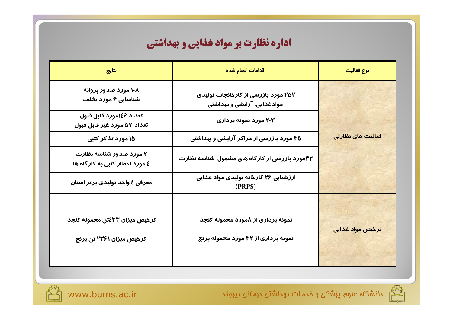| نتايج                                                      | اقدامات انجام شده                                                        | نوع فعالیت        |
|------------------------------------------------------------|--------------------------------------------------------------------------|-------------------|
| ۱۰۸ مورد صدور پروانه<br>شناسایی ۶ مورد تخلف                | ۲۵۲ مورد بازرسی از کارخانجات تولیدی<br>موادغذایی، آرایشی و بهداشتی       |                   |
| تعداد ١٤۶مورد قابل قبول<br>تعداد ۵۷ مورد غیر قابل قبول     | ۲۰۳ مورد نمونه برداری                                                    |                   |
| ۱۵ مورد تذکر کتبی                                          | ۳۵ مورد بازرسی از مراکز آرایشی و بهداشتی                                 | فعالیت های نظارتی |
| ۲ مورد صدور شناسه نظارت<br>٤ مورد اخطار کتبي به کار گاه ها | ۳۲مورد بازرسی از کارگاه های مشمول شناسه نظارت                            |                   |
| معرفی ٤ واحد تولیدی برتر استان                             | ارزشیابی ۲۶ کارخانه تولیدی مواد غذایی<br>(PRPS)                          |                   |
| ترخيص ميزان ٤٣٣ٽن محموله کنجد<br>ترخیص میزان ۲۳۶۱ تن برنج  | نمونه برداری از ۸مورد محموله کنجد<br>نمونه برداری از ۳۲ مورد محموله برنج | ترخیص مواد غذایی  |



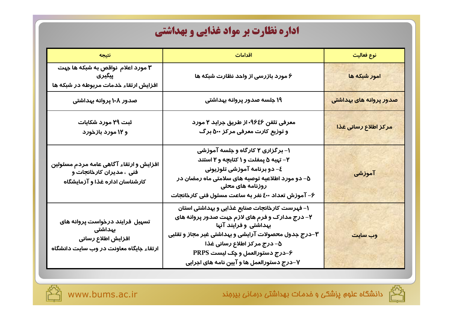| نتيجه                                                                                                       | اقدامات                                                                                                                                                                                                                                                                                            | نوع فعاليت              |  |
|-------------------------------------------------------------------------------------------------------------|----------------------------------------------------------------------------------------------------------------------------------------------------------------------------------------------------------------------------------------------------------------------------------------------------|-------------------------|--|
| ۳ مورد اعلام  نواقص به شبکه ها جهت<br>پیگیری<br>افزایش ارتقاء خدمات مربوطه در شبکه ها                       | ۶ مورد بازرسی از واحد نظارت شبکه ها                                                                                                                                                                                                                                                                | امور شبکه ها            |  |
| صدور ۱۰۸ پروانه بهداشتی                                                                                     | ۱۹ جلسه صدور پروانه بهداشتی                                                                                                                                                                                                                                                                        | صدور پروانه های بهداشتی |  |
| ثبت ۲۹ مورد شکایات<br>و ۱۲ مورد بازخورد                                                                     | معرفی تلفن ۹۶٤۶- از طریق جراید ۲ مو <i>ر</i> د<br>و توزیع کارت معرفی مرکز ۵۰۰ برگ                                                                                                                                                                                                                  |                         |  |
| افزایش و ارتقاء آگاهی عامه مردم مسئولین<br>فنی ، مدیران کارخانجات و<br>کارشناسان اداره غذا و آزمایشگاه      | ۱– برگزاری ۲ کارگاه و جلسه آموزشی<br>۲- تهیه ۵ پمفلت و ۱ کتابچه و ۲ استند<br>٤- دو برنامه آموزشي تلوزيوني<br>۵– دو مورد اطلاعیه توصیه های سلامتی ماه رمضان در<br>روزنامه های م <del>ح</del> لی<br>۶– آموزش تعداد ٤٠٠ نفر به ساعت مسئول فنی کارخانجات                                               | آموزشی                  |  |
| تسهیل فرایند درخواست پروانه های<br>بہداشتی<br>افزایش اطلاع رسانی<br>ارتقاء جایگاه معاونت در وب سایت دانشگاه | ۱– فهرست کارخانجات صنایع غذایی و بهداشتی استان<br>۲– درج مدارک و فرم های لازم جهت صدور پروانه های<br>بهداشتی و فرایند آنها<br>۳–درج جدول محصولات آرایشی و بهداشتی غیر مجاز و تقلبی<br>∆– درج مرکز اطلاع رسانی غذا<br>۶–درج دستورالعمل و چک لیست PRPS<br>۷–درج دستورالعمل ها و آیین نامه های اجرایی | وب سایت                 |  |



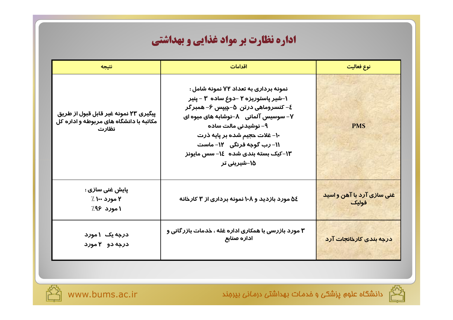| نتيجه                                                                                     | اقدامات                                                                                                                                                                                                                                                                                                                        | نوع فعاليت                          |
|-------------------------------------------------------------------------------------------|--------------------------------------------------------------------------------------------------------------------------------------------------------------------------------------------------------------------------------------------------------------------------------------------------------------------------------|-------------------------------------|
| پیگیری ۲۳ نمونه غیر قابل قبول از طریق<br>مکاتبه با دانشگاه های مربوطه و اداره کل<br>نظارت | نمونه برداری به تعداد ۷۲ نمونه شامل :<br>۱-شیر پاستوریزه ۲ –دوغ ساده ۳ - پنیر<br>٤– کنسروماهی درتن ٥–چیپس ۶– همبرگر<br>۷− سوسیس آلمانی ⊥۸−نوشابه های میوه ای<br>۹– نوشیدنی مالت ساده<br>-۱- غلات ح <del>ج</del> یم شده بر پایه ذرت<br><b>۱۱- رب گوجه فرنگی۔ ۱۲- ماست</b><br>۱۳–کیک بسته بندی شده ۱۶– سس مایونز<br>۱۵−شیرینی تر | <b>PMS</b>                          |
| پايش غني سازي :<br>۲ مورد ۱۰۰ ٪<br>۱ مورد ۹۶٪                                             | ۵٤ مورد بازدید و ۱۰۸ نمونه برداری از ۳ کارخانه                                                                                                                                                                                                                                                                                 | غنی سازی آرد با آهن و اسید<br>فوليك |
| درجه یک ۱مورد<br>درجه دو ۲ مورد                                                           | ۳ مورد بازرسی با همکاری اداره غله ، خدمات بازر گانی و<br>اداره صنایع                                                                                                                                                                                                                                                           | درجه بندی کارخانجات آرد             |



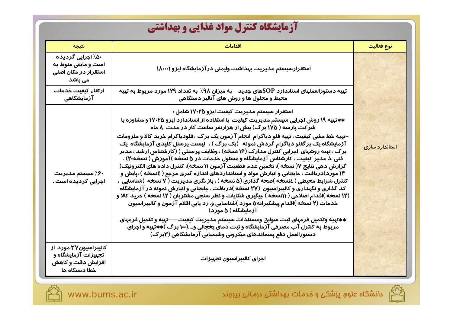## آزمایشگاه کنترل مواد غذایی و بهداشتی

| نتيجه                                                                              | اقدامات                                                                                                                                                                                                                                                                                                                                                                                                                                                                                                                                                                                                                                                                                                                                                                                                                                                                                                                                                   | نوع فعاليت     |
|------------------------------------------------------------------------------------|-----------------------------------------------------------------------------------------------------------------------------------------------------------------------------------------------------------------------------------------------------------------------------------------------------------------------------------------------------------------------------------------------------------------------------------------------------------------------------------------------------------------------------------------------------------------------------------------------------------------------------------------------------------------------------------------------------------------------------------------------------------------------------------------------------------------------------------------------------------------------------------------------------------------------------------------------------------|----------------|
| ۵۰٪ اجرایی گردیده<br>است و مابقی منوط به<br>استقرار در مکان اصلی<br>می باشد        | استقرارسیستم مدیریت بهداشت وایمنی در آزمایشگاه ایزو ۱۸۰۰۰۱                                                                                                                                                                                                                                                                                                                                                                                                                                                                                                                                                                                                                                                                                                                                                                                                                                                                                                |                |
| ارتقاء كيفيت خدمات<br>آزمایشگاهی                                                   | تهیه دستورالعملهای استاندارد SOPهای جدید    به میزان ۹۸٪  به تعداد ۱۲۹ مورد مربوط به تهیه<br>محیط و محلول ها و روش های آنالیز دستگاهی                                                                                                                                                                                                                                                                                                                                                                                                                                                                                                                                                                                                                                                                                                                                                                                                                     |                |
|                                                                                    | استقرار سیستم مدیریت کیفیت ایزو ۱۷۰۲۵ شامل :<br>**تهیه ۱۹ روش اجرایی سیستم مدیریت کیفیت  با استفاده از استاندارد ایزو ۱۷۰۲۵ و مشاوره با<br>شر <i>ک</i> ت پا <i>ر</i> سه ( ۱۷۵ بر گ) بیش از هزارنفر ساعت کار در مدت  λ ماه                                                                                                                                                                                                                                                                                                                                                                                                                                                                                                                                                                                                                                                                                                                                 |                |
| ۶۰٪ سیستم مدیریت<br>اجرایی گردیده است .                                            | −تہیه خط مشی کیفیت ، تہیه فلو دیاگرام  انجام آ زمون یک برگ  :فلودیاگرام خرید کالا و ملزومات<br>آزمایشگاه یک برگفلو دیاگرام گردش نمونه(یک برگ ) ،  لیست پرسنل کلیدی آزمایشگاه  یک<br>برگ ، تهیه روشهای اجرایی کنترل مدارک (۱۶ نسخه) ، وظایف پرسنلی ( (کارشتناس ارشد ، مدیر<br>فنی ،ذ مدیر کیفیت ، کارشناس آزمایشگاه و مسئول خدمات در ۵ نسخه )آموزش ( نسخه۲۰) ،<br>گزارش دهی نتایج ۷( نسخه )، تخمین عدم قطعیت آزمون ۱۱ نسخه)، کنترل داده های الکترونیک(<br>۱۳ مورد)دریافت ، جابجایی و انبارش مواد و استانداردهای اندازه گیری مرجع ( ٤نسخه ) ،پایش و<br>کنترل شرایط محیطی ( ٤نسخه )صحه گذاری (۵ نسخه ) ، باز نگری مدیریت ( ۷ نسخه )شناسایی ،<br>کد گذاری و نگهداری و کالیبراسیون (۲۷ نسخه )دریافت ، جابجایی و انبارش نمونه در آزمایشگاه<br>(۱۲ نسخه )اقدام اصلاحی ( ۱۱نسخه ) ،پیگیری شکایات و نظر سنجی مشتریان ( ۱۲ نسخه ) خرید کالا و<br>خدمات (۲ نسخه )اقدام پیشگیرانه۵ مورد )شناسایی و. رد یابی اقلام آزمون و کالیبراسیون<br>آزمایشگاه ( ۵ مو <i>ر</i> د) | استاندارد سازی |
|                                                                                    | **تهیه وتکمیل فرمهای ثبت سوابق ومستندات سیستم مدیریت کیفیت–––تهیه و تکمیل فرمهای<br>مربوط به کنترل آب مصرفی آزمایشگاه و ثبت دمای یخچالی و….(۱۰۰ برگ ) $\ast$ تپیه و اجرای<br>دستورالعمل دفع پسماندهای میکروبی وشیمیایی آزمایشگاهی (۳برگ)                                                                                                                                                                                                                                                                                                                                                                                                                                                                                                                                                                                                                                                                                                                  |                |
| کالیبراسیون۳۷ مورد از<br>تجهیزات آزمایشگاه و<br>افزایش دقت و کاهش<br>خطا دستگاه ها | اجراى كاليبراسيون تجهيزات                                                                                                                                                                                                                                                                                                                                                                                                                                                                                                                                                                                                                                                                                                                                                                                                                                                                                                                                 |                |



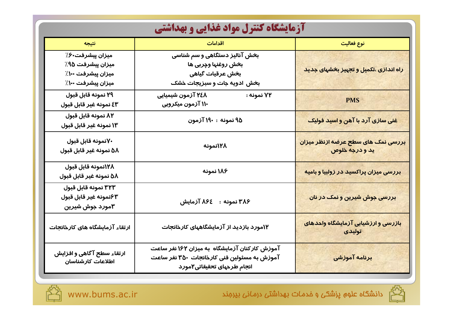| آزمایشگاه کنترل مواد غذایی و بهداشتی                                          |                                                                                                                            |                                                                   |  |
|-------------------------------------------------------------------------------|----------------------------------------------------------------------------------------------------------------------------|-------------------------------------------------------------------|--|
| نتيجه                                                                         | اقدامات                                                                                                                    | نوع فعالیت                                                        |  |
| میزان پیشرفت ۶/<br>میزان پیشرفت ۹۵٪<br>میزان پیشرفت ۱۰۰٪<br>میزان پیشرفت ۱۰۰٪ | بخش آنالیز دستگاهی و سم شناسی<br>بخش روغنها وچربی ها<br>بخش عرقيات گياهي<br>بخش ادویه جات و سبزیجات خشک                    | راه اندازی ،تکمیل و تجهیز ب <del>خ</del> شهای جدید                |  |
| ٢٩ نمونه قابل قبول<br>٤٣ نمونه غير قابل قبول                                  | ۲٤۸ آزمون شیمیایی<br>۷۲ نمونه :<br>۱۱۰ آزمون میکروبی                                                                       | <b>PMS</b>                                                        |  |
| ۸۲ نمونه قابل قبول<br>۱۳ نمونه غیر قابل قبول                                  | ۹۵ نمونه : ۱۹۰ آزمون                                                                                                       | غنی سازی آرد با آهن و اسید فولیک                                  |  |
| ۷۰نمونه قابل قبول<br>۵۸ نمونه غیر قابل قبول                                   | ۱۲۸نمونه                                                                                                                   | <mark>بررسی نمک های سطح عرضه ازنظر میزان</mark><br>يد و درجه خلوص |  |
| ١٢٨نمونه قابل قبول<br>∆∆ نمونه غير قابل قبول                                  | ۱۸۶ نمونه                                                                                                                  | بررسی میزان پراکسید در زولبیا و بامیه                             |  |
| ٣٢٣ نمونه قابل قبول<br>۶۳نمونه غير قابل قبول<br>۳مورد جوش شیرین               | ۳۸۶ نمونه : ۸۶٤ آزمایش                                                                                                     | بررسی جوش شیرین و نمک در نان                                      |  |
| ارتقاء آزمایشگاه های کارخانجات                                                | ۱۲مورد بازدید از آزمایشگاههای کارخانجات                                                                                    | بازرسی و ارزشیابی آزمایشگاه واحدهای<br>تولیدی                     |  |
| ارتقاء سطح آگاهی و افزایش<br>اطلاعات كارشناسان                                | آموزش کارکنان آزمایشگاه به میزان ۱۶۲ نفر ساعت<br>آموزش به مسئولین فنی کارخانجات ۳۵۰ نفر ساعت<br>انجام طرحهای تحقیقاتی۲مورد | برنامه آموزشی                                                     |  |



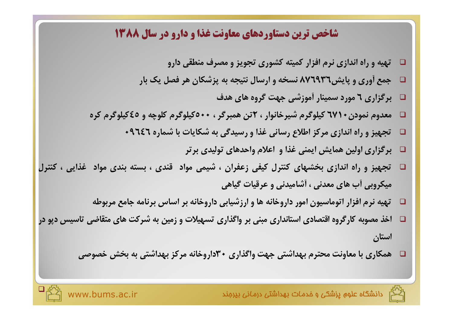#### **شاخص ترین دستاوردهای معاونت غذا و دارو در سال ۱۳۸۸**

- **□** تهیه و راه اندازی نرم افزار کمیته کشوری تجویز و مصرف منطقی دارو
- **%0 6 5 4 <sup>1</sup>%23& 0 - .%/ ,- 876936\$%& # !"**
	- **4 %4 7 8" 3# %-/ 6 70**
- **□ معدوم نمودن ٦٧١ کیلوگرم شیرخانوار ، ٢تن همبرگر ، • ٥كيلوگرم كلوچه و ٤٥كيلوگرم كره** 
	- **□ تجهیز و راه اندازی مرکز اطلاع رسانی غذا و رسیدگی به شکایات با شماره ۹٦٤٦** 
		- **□** برگزاری اولین همایش ایمنی غذا و اعلام واحدهای تولیدی برتر
- **□** تجهیز و راه اندازی بخشهای کنترل کیفی زعفران ، شیمی مواد قندی ، بسته بندی مواد غذایی ، کنترل هیکروبی آب های معدنی ، آشامیدنی و عرقیات گیاهی
	- **□** تهيه نرم افزار اتوماسيون امور داروخانه ها و ارزشيابي داروخانه بر اساس برنامه جامع مربوطه
- □ آخذ مصوبه کارگروه اقتصادی استانداری مبنی بر واگذاری تسهیلات و زمین به شرکت های متقاضی تاسیس دپو در **استان** 
	- **U= \$,0 0 30 %= 30 H7 8" 30 T 8
	%9 %0 %24**



 $\Box$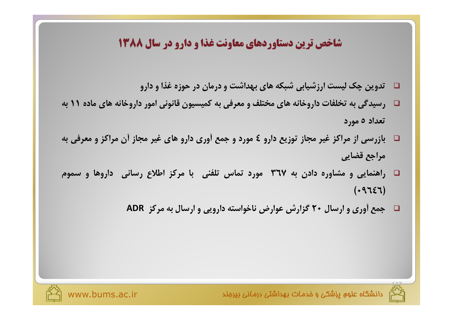### شاخص ترین دستاوردهای معاونت غذا و دارو در سال ۱۳۸۸

- $\Box$  تدوین چک لیست ارزشیابی شبکه های بهداشت و درمان در حوزه غذا و دارو
- $\Box$  رسیدگی به تخلفات داروخانه های مختلف و معرفی به کمیسیون قانونی امور داروخانه های ماده ۱۱ به  $\Box$ تعداد ٥ مورد
- □۔ بازرسی از مراکز غیر مجاز توزیع دارو ٤ مورد و جمع أوری دارو های غیر مجاز أن مراکز و معرفی به مراجع قضايي
- $\Box$  راهنمایی و مشاوره دادن به ۳٦۷ مورد تماس تلفنی با مرکز اطلاع رسانی داروها و سموم  $(19757)$ 
	- □ جمع أورى و ارسال ٢٠ گزارش عوارض ناخواسته دارويي و ارسال به مركز ADR





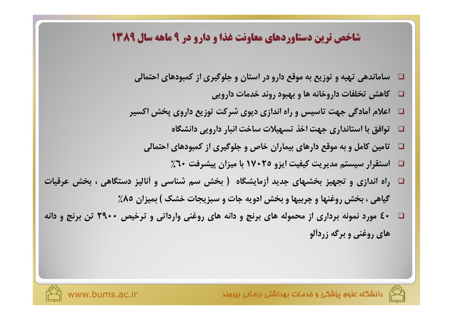### **شاخص ترین دستاوردهای معاونت غذا و دارو در ۹ ماهه سال ۱۳۸۹**

- **K%M %4 A -7<" 1%/ !O 0 ! - 4
%%/**
	- **□ كاهش تخلفات داروخانه ها و بهبود روند خدمات دارويي**
- **□** اعلام أمادگي جهت تاسيس و راه اندازي دپوي شركت توزيع داروي پخش اكسير
	- **%]
	 %A 8=%/ JF-- H= 8" 
	%/ %0 \**
	- تامین کامل و به موقع دارهای بیماران خاص و جلوگیری از کمبودهای احتمالی  $\Box$ 
		- **%60 8-& 1- %0 17025 8-N- 8 \_--/ /**
- **□** راه اندازی و تجهیز بخشهای جدید آزمایشگاه ( بخش سم شناسی و آنالیز دستگاهی ، بخش عرقیات **%85 1-0 ( 6= J%A/ J%" \$,0 %-0C %I \$,0 <sup>&</sup>gt; 4%-7**
- **□** +٤ مورد نمونه برداری از محموله های برنج و دانه های روغنی وارداتی و ترخیص + +٢٩ تن برنج و دانه های روغنی و برگه زردآلو

ند م

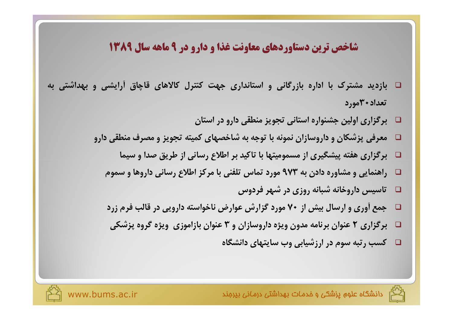## شاخص ترین دستاوردهای معاونت غذا و دارو در ۹ ماهه سال ۱۳۸۹

- □ بازدید مشترک با اداره بازرگانی و استانداری جهت کنترل کالاهای قاچاق اَرایشی و بهداشتی به تعداد ۳۰مه, د
	- $\Box$  برگزاری اولین جشنواره استانی تجویز منطقی دارو در استان
	- معرفی پزشکان و داروسازان نمونه با توجه به شاخصهای کمیته تجویز و مصرف منطقی دارو  $\Box$ 
		- برگزاری هفته پیشگیری از مسمومیتها با تاکید بر اطلاع رسانی از طریق صدا و سیما  $\Box$
		- راهنمایی و مشاوره دادن به ۹۷۳ مورد تماس تلفنی با مرکز اطلاع رسانی داروها و سموم  $\Box$ 
			- $\Box$  تاسیس داروخانه شبانه روزی در شهر فردوس
		- جمع آوری و ارسال بیش از ۷۰ مورد گزارش عوارض ناخواسته دارویی در قالب فرم زرد **Q**
		- برگزاری ۲ عنوان برنامه مدون ویژه داروسازان و ۳ عنوان بازاموزی ویژه گروه پزشکی  $\Box$ 
			- □ گسب رتبه سوم در ارزشیابی وب سایتهای دانشگاه



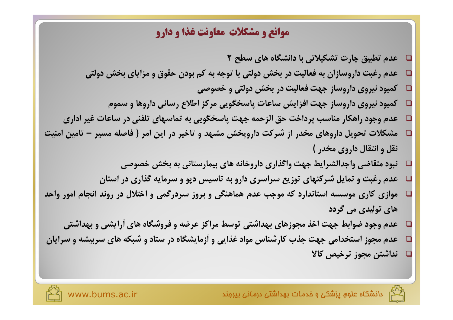#### **موانع و مشکلات معاونت غذا و دارو**

- **2 h/ %4 %]
 %0 F-2 J %C \-A <sup>L</sup> □ عدم رغبت داروسازان به فعالیت در بخش دولتی با توجه به کم بودن حقوق و مزایای بخش دولتی □ کمبود نیروی داروساز جهت فعالیت در بخش دولتی و خصوصی □ كمبود نيروى داروساز جهت افزايش ساعات پاسخگويي مركز اطلاع رساني داروها و سموم □** عدم وجود راهکار مناسب پرداخت حق الزحمه جهت پاسخگویی به تماسهای تلفنی در ساعات غیر اداری **□** مشکلات تحویل داروهای مخدر از شرکت داروپخش مشهد و تاخیر در این امر ( فاصله مسیر – تامین امنیت **( , .% 5 □** نبود متقاضی واجدالشرایط جهت واگذاری داروخانه های بیمارستانی به بخش خصوصی **1%/ H7 %/ & S-/% 0 // ! %3 5% 8AI <sup>L</sup> □** موازی کاری موسسه استاندارد که موجب عدم هماهنگی و بروز سردرگمی و اختلال در روند انجام امور واحد های تولیدی می گردد
	- **30 # %4 %]3 RL i/ 30 %4 H= 8" i0R " <sup>L</sup>**
- **1%/ -0/ %4 2A3 %/ %]%# HI <sup>Q</sup>%3 % <sup>P</sup>H" 8" ,/ <sup>L</sup> □ نداشتن مجوز ترخیص کالا**

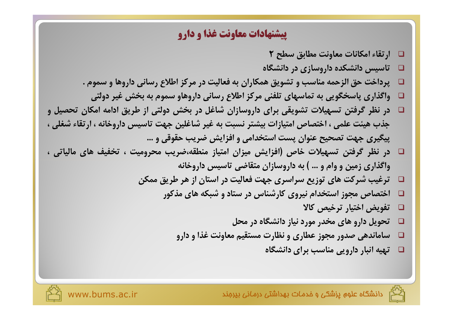#### **پیشنهادات معاونت غذا و دارو**

- **2 h/ \0% 8
%9 J%
%2 j%**
- □ تاسیس دانشکده داروسازی در دانشگاه
- **. / %4 
%/ EFG 8-K%9 0 1 %24 \ f/% MK \M 8= &**
	- **K -I \$,0 0 / %4 
	%/ EFG N< %/% 0 ],/%& H7**
- **5-T <sup>1</sup>%2 \G K \$,0 5I%3 <sup>1</sup>%/ 0 JF-- @7 l**  جذب هيئت علمي ، اختصاص امتيازات بيشتر نسبت به غير شاغلين جهت تاسيس داروخانه ، ارتقاء شغلي ، پیگیری جهت تصحیح عنوان پست استخدامی و افزایش ضریب حقوقی و …
- □ در نظر گرفتن تسهیلات خاص (افزایش میزان امتیاز منطقه،ضریب محرومیت ، تخفیف های مالیاتی ، واگذاری زمین و وام و … ) به داروسازان متقاضی تاسیس داروخانه
	- **@2 \G 4 1%/ 8-K%9 8" // ! %4 83 f-I**
		- **H %4 2A3 %/ Q%3 % - ,/ ^%=**
			- **d% b-= %-= oN**
			- **□ تحویل دارو های مخدر مورد نیاز دانشگاه در محل**
			- **HI 8
			%9 \_-- J %l %L <sup>U</sup> 4
			%%/**
				- **%]
				 0 f/% %A -**